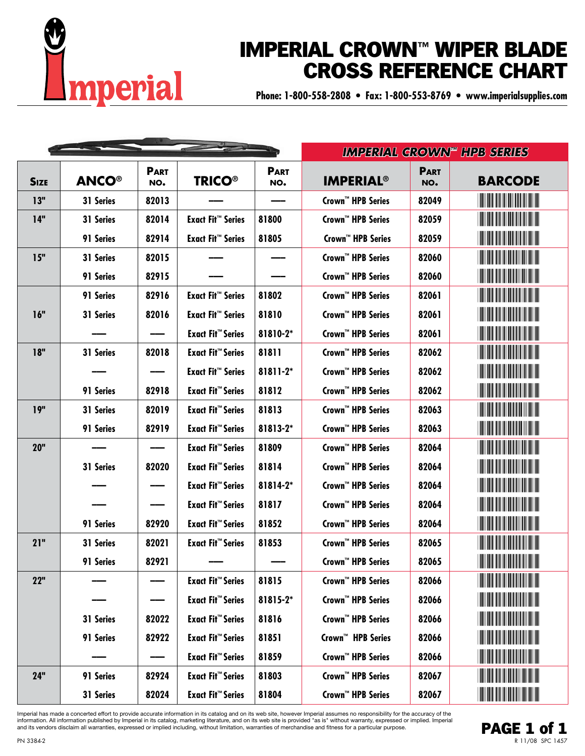

## IMPERIAL CROWN**™** WIPER BLADE CROSS REFERENCE CHART

**Phone: 1-800-558-2808 • Fax: 1-800-553-8769 • www.imperialsupplies.com**

|             |              |                    |                                     |                    |                               |                    | <b>IMPERIAL GROWN" HPB SERIES</b>                                                                                     |
|-------------|--------------|--------------------|-------------------------------------|--------------------|-------------------------------|--------------------|-----------------------------------------------------------------------------------------------------------------------|
| <b>SIZE</b> | <b>ANCO®</b> | <b>PART</b><br>NO. | <b>TRICO®</b>                       | <b>PART</b><br>NO. | <b>IMPERIAL<sup>®</sup></b>   | <b>PART</b><br>NO. | <b>BARCODE</b>                                                                                                        |
| 13"         | 31 Series    | 82013              |                                     |                    | Crown™ HPB Series             | 82049              | <b>HILLIN</b>                                                                                                         |
| 14"         | 31 Series    | 82014              | <b>Exact Fit™ Series</b>            | 81800              | Crown™ HPB Series             | 82059              |                                                                                                                       |
|             | 91 Series    | 82914              | <b>Exact Fit<sup>™</sup> Series</b> | 81805              | Crown™ HPB Series             | 82059              | <u> Harris Maria A</u>                                                                                                |
| 15"         | 31 Series    | 82015              |                                     |                    | Crown™ HPB Series             | 82060              |                                                                                                                       |
|             | 91 Series    | 82915              |                                     |                    | Crown™ HPB Series             | 82060              |                                                                                                                       |
|             | 91 Series    | 82916              | <b>Exact Fit™ Series</b>            | 81802              | Crown™ HPB Series             | 82061              | <u> Harry Harry Harry Harry Harry Harry Harry Harry Harry Harry Harry Harry Harry Harry Harry Harry Harry Harry H</u> |
| 16"         | 31 Series    | 82016              | <b>Exact Fit™ Series</b>            | 81810              | Crown™ HPB Series             | 82061              | <u> Harris Albert III (1989)</u>                                                                                      |
|             |              |                    | <b>Exact Fit™ Series</b>            | 81810-2*           | Crown™ HPB Series             | 82061              |                                                                                                                       |
| 18"         | 31 Series    | 82018              | <b>Exact Fit™ Series</b>            | 81811              | Crown™ HPB Series             | 82062              | <u> Harry Harry Harry Harry Harry Harry Harry Harry Harry Harry Harry Harry Harry Harry Harry Harry Harry Harry H</u> |
|             |              |                    | <b>Exact Fit™ Series</b>            | 81811-2*           | Crown™ HPB Series             | 82062              | <u> Harris Albert III (1989)</u>                                                                                      |
|             | 91 Series    | 82918              | <b>Exact Fit™ Series</b>            | 81812              | Crown™ HPB Series             | 82062              |                                                                                                                       |
| 19"         | 31 Series    | 82019              | <b>Exact Fit™ Series</b>            | 81813              | Crown™ HPB Series             | 82063              |                                                                                                                       |
|             | 91 Series    | 82919              | <b>Exact Fit™ Series</b>            | 81813-2*           | Crown™ HPB Series             | 82063              |                                                                                                                       |
| <b>20"</b>  |              |                    | <b>Exact Fit™ Series</b>            | 81809              | Crown™ HPB Series             | 82064              |                                                                                                                       |
|             | 31 Series    | 82020              | <b>Exact Fit™ Series</b>            | 81814              | Crown™ HPB Series             | 82064              | <u> Harry Harry Harry Harry Harry Harry Harry Harry Harry Harry Harry Harry Harry Harry Harry Harry Harry Harry H</u> |
|             |              |                    | <b>Exact Fit™ Series</b>            | 81814-2*           | Crown™ HPB Series             | 82064              | <u> Hillingin ka</u>                                                                                                  |
|             |              |                    | <b>Exact Fit™ Series</b>            | 81817              | Crown™ HPB Series             | 82064              |                                                                                                                       |
|             | 91 Series    | 82920              | <b>Exact Fit™ Series</b>            | 81852              | Crown™ HPB Series             | 82064              |                                                                                                                       |
| 21"         | 31 Series    | 82021              | <b>Exact Fit™ Series</b>            | 81853              | Crown™ HPB Series             | 82065              |                                                                                                                       |
|             | 91 Series    | 82921              |                                     |                    | Crown™ HPB Series             | 82065              |                                                                                                                       |
| 22"         |              |                    | <b>Exact Fit™ Series</b>            | 81815              | Crown™ HPB Series             | 82066              | <u> Harris Harris III.</u>                                                                                            |
|             |              |                    | <b>Exact Fit™ Series</b>            | 81815-2*           | Crown™ HPB Series             | 82066              |                                                                                                                       |
|             | 31 Series    | 82022              | <b>Exact Fit™ Series</b>            | 81816              | Crown™ HPB Series             | 82066              | <b>The Community of the Community</b>                                                                                 |
|             | 91 Series    | 82922              | <b>Exact Fit™ Series</b>            | 81851              | Crown <sup>™</sup> HPB Series | 82066              | <b>The Community of the Community</b>                                                                                 |
|             |              |                    | <b>Exact Fit™ Series</b>            | 81859              | Crown™ HPB Series             | 82066              | <u> Hillingan ka</u>                                                                                                  |
| 24"         | 91 Series    | 82924              | <b>Exact Fit™ Series</b>            | 81803              | Crown™ HPB Series             | 82067              | <u> Harris Harris III.</u>                                                                                            |
|             | 31 Series    | 82024              | <b>Exact Fit™ Series</b>            | 81804              | Crown™ HPB Series             | 82067              | <u> Harry Harry Harry Harry</u>                                                                                       |

Imperial has made a concerted effort to provide accurate information in its catalog and on its web site, however Imperial assumes no responsibility for the accuracy of the information. All information published by Imperial in its catalog, marketing literature, and on its web site is provided "as is" without warranty, expressed or implied. Imperial and its vendors disclaim all warranties, expressed or implied including, without limitation, warranties of merchandise and fitness for a particular purpose.